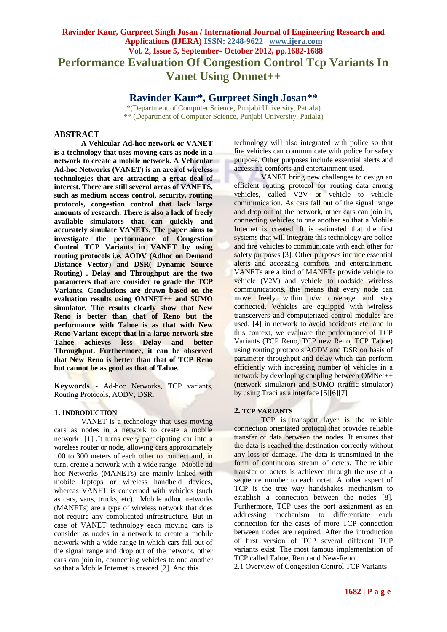# **Ravinder Kaur, Gurpreet Singh Josan / International Journal of Engineering Research and Applications (IJERA) ISSN: 2248-9622 www.ijera.com Vol. 2, Issue 5, September- October 2012, pp.1682-1688 Performance Evaluation Of Congestion Control Tcp Variants In Vanet Using Omnet++**

**Ravinder Kaur\*, Gurpreet Singh Josan\*\***

\*(Department of Computer Science, Punjabi University, Patiala) \*\* (Department of Computer Science, Punjabi University, Patiala)

# **ABSTRACT**

**A Vehicular Ad-hoc network or VANET is a technology that uses moving cars as node in a network to create a mobile network. A Vehicular Ad-hoc Networks (VANET) is an area of wireless technologies that are attracting a great deal of interest. There are still several areas of VANETS, such as medium access control, security, routing protocols, congestion control that lack large amounts of research. There is also a lack of freely available simulators that can quickly and accurately simulate VANETs. The paper aims to investigate the performance of Congestion Control TCP Variants in VANET by using routing protocols i.e. AODV (Adhoc on Demand Distance Vector) and DSR( Dynamic Source Routing) . Delay and Throughput are the two parameters that are consider to grade the TCP Variants. Conclusions are drawn based on the evaluation results using OMNET++ and SUMO simulator. The results clearly show that New Reno is better than that of Reno but the performance with Tahoe is as that with New Reno Variant except that in a large network size Tahoe achieves less Delay and better Throughput. Furthermore, it can be observed that New Reno is better than that of TCP Reno but cannot be as good as that of Tahoe.**

**Keywords -** Ad-hoc Networks, TCP variants, Routing Protocols, AODV, DSR.

### **1. INDRODUCTION**

VANET is a technology that uses moving cars as nodes in a network to create a mobile network [1] .It turns every participating car into a wireless router or node, allowing cars approximately 100 to 300 meters of each other to connect and, in turn, create a network with a wide range. Mobile ad hoc Networks (MANETs) are mainly linked with mobile laptops or wireless handheld devices, whereas VANET is concerned with vehicles (such as cars, vans, trucks, etc). Mobile adhoc networks (MANETs) are a type of wireless network that does not require any complicated infrastructure. But in case of VANET technology each moving cars is consider as nodes in a network to create a mobile network with a wide range in which cars fall out of the signal range and drop out of the network, other cars can join in, connecting vehicles to one another so that a Mobile Internet is created [2]. And this

technology will also integrated with police so that fire vehicles can communicate with police for safety purpose. Other purposes include essential alerts and accessing comforts and entertainment used.

VANET bring new challenges to design an efficient routing protocol for routing data among vehicles, called V2V or vehicle to vehicle communication. As cars fall out of the signal range and drop out of the network, other cars can join in, connecting vehicles to one another so that a Mobile Internet is created. It is estimated that the first systems that will integrate this technology are police and fire vehicles to communicate with each other for safety purposes [3]. Other purposes include essential alerts and accessing comforts and entertainment. VANETs are a kind of MANETs provide vehicle to vehicle (V2V) and vehicle to roadside wireless communications, this means that every node can move freely within n/w coverage and stay connected. Vehicles are equipped with wireless transceivers and computerized control modules are used. [4] in network to avoid accidents etc. and In this context, we evaluate the performance of TCP Variants (TCP Reno, TCP new Reno, TCP Tahoe) using routing protocols AODV and DSR on basis of parameter throughput and delay which can perform efficiently with increasing number of vehicles in a network by developing coupling between OMNet++ (network simulator) and SUMO (traffic simulator) by using Traci as a interface [5][6][7].

### **2. TCP VARIANTS**

TCP is transport layer is the reliable connection orientated protocol that provides reliable transfer of data between the nodes. It ensures that the data is reached the destination correctly without any loss or damage. The data is transmitted in the form of continuous stream of octets. The reliable transfer of octets is achieved through the use of a sequence number to each octet. Another aspect of TCP is the tree way handshakes mechanism to establish a connection between the nodes [8]. Furthermore, TCP uses the port assignment as an addressing mechanism to differentiate each connection for the cases of more TCP connection between nodes are required. After the introduction of first version of TCP several different TCP variants exist. The most famous implementation of TCP called Tahoe, Reno and New-Reno.

2.1 Overview of Congestion Control TCP Variants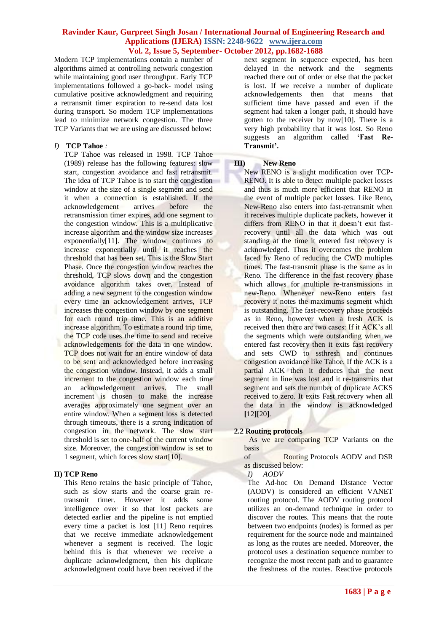Modern TCP implementations contain a number of algorithms aimed at controlling network congestion while maintaining good user throughput. Early TCP implementations followed a go-back- model using cumulative positive acknowledgment and requiring a retransmit timer expiration to re-send data lost during transport. So modern TCP implementations lead to minimize network congestion. The three TCP Variants that we are using are discussed below:

# *I)* **TCP Tahoe** *:*

TCP Tahoe was released in 1998. TCP Tahoe (1989) release has the following features: slow start, congestion avoidance and fast retransmit. The idea of TCP Tahoe is to start the congestion window at the size of a single segment and send it when a connection is established. If the acknowledgement arrives before the retransmission timer expires, add one segment to the congestion window. This is a multiplicative increase algorithm and the window size increases exponentially[11]. The window continues to increase exponentially until it reaches the threshold that has been set. This is the Slow Start Phase. Once the congestion window reaches the threshold, TCP slows down and the congestion avoidance algorithm takes over. Instead of adding a new segment to the congestion window every time an acknowledgement arrives, TCP increases the congestion window by one segment for each round trip time. This is an additive increase algorithm. To estimate a round trip time, the TCP code uses the time to send and receive acknowledgements for the data in one window. TCP does not wait for an entire window of data to be sent and acknowledged before increasing the congestion window. Instead, it adds a small increment to the congestion window each time an acknowledgement arrives. The small increment is chosen to make the increase averages approximately one segment over an entire window. When a segment loss is detected through timeouts, there is a strong indication of congestion in the network. The slow start threshold is set to one-half of the current window size. Moreover, the congestion window is set to 1 segment, which forces slow start[10].

### **II) TCP Reno**

This Reno retains the basic principle of Tahoe, such as slow starts and the coarse grain retransmit timer. However it adds some intelligence over it so that lost packets are detected earlier and the pipeline is not emptied every time a packet is lost [11] Reno requires that we receive immediate acknowledgement whenever a segment is received. The logic behind this is that whenever we receive a duplicate acknowledgment, then his duplicate acknowledgment could have been received if the

next segment in sequence expected, has been delayed in the network and the segments reached there out of order or else that the packet is lost. If we receive a number of duplicate acknowledgements then that means that sufficient time have passed and even if the segment had taken a longer path, it should have gotten to the receiver by now[10]. There is a very high probability that it was lost. So Reno suggests an algorithm called **'Fast Re-Transmit'.**

# **III) New Reno**

New RENO is a slight modification over TCP-RENO. It is able to detect multiple packet losses and thus is much more efficient that RENO in the event of multiple packet losses. Like Reno, New-Reno also enters into fast-retransmit when it receives multiple duplicate packets, however it differs from RENO in that it doesn't exit fastrecovery until all the data which was out standing at the time it entered fast recovery is acknowledged. Thus it overcomes the problem faced by Reno of reducing the CWD multiples times. The fast-transmit phase is the same as in Reno. The difference in the fast recovery phase which allows for multiple re-transmissions in new-Reno. Whenever new-Reno enters fast recovery it notes the maximums segment which is outstanding. The fast-recovery phase proceeds as in Reno, however when a fresh ACK is received then there are two cases: If it ACK's all the segments which were outstanding when we entered fast recovery then it exits fast recovery and sets CWD to ssthresh and continues congestion avoidance like Tahoe. If the ACK is a partial ACK then it deduces that the next segment in line was lost and it re-transmits that segment and sets the number of duplicate ACKS received to zero. It exits Fast recovery when all the data in the window is acknowledged **[**12**][**20**]**.

### **2.2 Routing protocols**

 As we are comparing TCP Variants on the basis

of Routing Protocols AODV and DSR as discussed below:

# *I) AODV*

The Ad-hoc On Demand Distance Vector (AODV) is considered an efficient VANET routing protocol. The AODV routing protocol utilizes an on-demand technique in order to discover the routes. This means that the route between two endpoints (nodes) is formed as per requirement for the source node and maintained as long as the routes are needed. Moreover, the protocol uses a destination sequence number to recognize the most recent path and to guarantee the freshness of the routes. Reactive protocols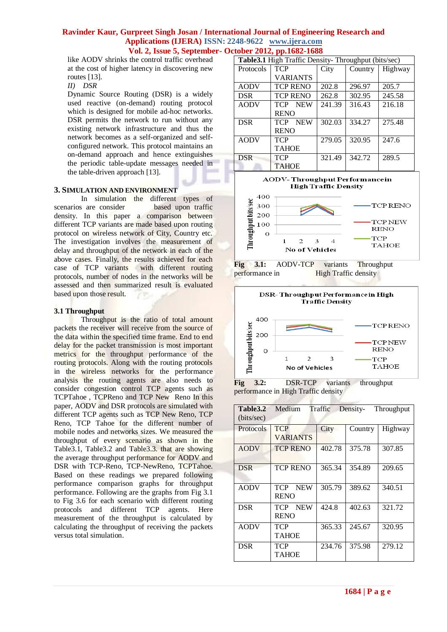like AODV shrinks the control traffic overhead at the cost of higher latency in discovering new routes [13].

*II) DSR* 

Dynamic Source Routing (DSR) is a widely used reactive (on-demand) routing protocol which is designed for mobile ad-hoc networks. DSR permits the network to run without any existing network infrastructure and thus the network becomes as a self-organized and selfconfigured network. This protocol maintains an on-demand approach and hence extinguishes the periodic table-update messages needed in the table-driven approach [13].

# **3. SIMULATION AND ENVIRONMENT**

In simulation the different types of scenarios are consider based upon traffic density. In this paper a comparison between different TCP variants are made based upon routing protocol on wireless network of City, Country etc. The investigation involves the measurement of delay and throughput of the network in each of the above cases. Finally, the results achieved for each case of TCP variants with different routing protocols, number of nodes in the networks will be assessed and then summarized result is evaluated based upon those result.

# **3.1 Throughput**

Throughput is the ratio of total amount packets the receiver will receive from the source of the data within the specified time frame. End to end delay for the packet transmission is most important metrics for the throughput performance of the routing protocols. Along with the routing protocols in the wireless networks for the performance analysis the routing agents are also needs to consider congestion control TCP agents such as TCPTahoe , TCPReno and TCP New Reno In this paper, AODV and DSR protocols are simulated with different TCP agents such as TCP New Reno, TCP Reno, TCP Tahoe for the different number of mobile nodes and networks sizes. We measured the throughput of every scenario as shown in the Table3.1, Table3.2 and Table3.3. that are showing the average throughput performance for AODV and DSR with TCP-Reno, TCP-NewReno, TCPTahoe. Based on these readings we prepared following performance comparison graphs for throughput performance. Following are the graphs from Fig 3.1 to Fig 3.6 for each scenario with different routing protocols and different TCP agents. Here measurement of the throughput is calculated by calculating the throughput of receiving the packets versus total simulation.

| <b>Table 3.1</b> High Traffic Density- Throughput (bits/sec) |                          |        |         |         |  |  |
|--------------------------------------------------------------|--------------------------|--------|---------|---------|--|--|
| Protocols                                                    | <b>TCP</b>               | City   | Country | Highway |  |  |
|                                                              | <b>VARIANTS</b>          |        |         |         |  |  |
| <b>AODV</b>                                                  | <b>TCP RENO</b>          | 202.8  | 296.97  | 205.7   |  |  |
| <b>DSR</b>                                                   | <b>TCP RENO</b>          | 262.8  | 302.95  | 245.58  |  |  |
| <b>AODV</b>                                                  | <b>TCP</b><br><b>NEW</b> | 241.39 | 316.43  | 216.18  |  |  |
|                                                              | <b>RENO</b>              |        |         |         |  |  |
| <b>DSR</b>                                                   | <b>NEW</b><br><b>TCP</b> | 302.03 | 334.27  | 275.48  |  |  |
|                                                              | <b>RENO</b>              |        |         |         |  |  |
| <b>AODV</b>                                                  | <b>TCP</b>               | 279.05 | 320.95  | 247.6   |  |  |
|                                                              | <b>TAHOE</b>             |        |         |         |  |  |
| <b>DSR</b>                                                   | <b>TCP</b>               | 321.49 | 342.72  | 289.5   |  |  |
|                                                              | <b>TAHOE</b>             |        |         |         |  |  |







**Fig 3.2:** DSR-TCP variants throughput performance in High Traffic density

| Table3.2<br>(bits/sec) | Medium                                  | Traffic | Density- | Throughput |
|------------------------|-----------------------------------------|---------|----------|------------|
| Protocols              | <b>TCP</b><br><b>VARIANTS</b>           | City    | Country  | Highway    |
| <b>AODV</b>            | <b>TCP RENO</b>                         | 402.78  | 375.78   | 307.85     |
| <b>DSR</b>             | <b>TCP RENO</b>                         | 365.34  | 354.89   | 209.65     |
| <b>AODV</b>            | <b>TCP</b><br><b>NEW</b><br><b>RENO</b> | 305.79  | 389.62   | 340.51     |
| <b>DSR</b>             | <b>NEW</b><br>TCP.<br><b>RENO</b>       | 424.8   | 402.63   | 321.72     |
| <b>AODV</b>            | TCP<br>TAHOE                            | 365.33  | 245.67   | 320.95     |
| <b>DSR</b>             | TCP<br>TAHOE                            | 234.76  | 375.98   | 279.12     |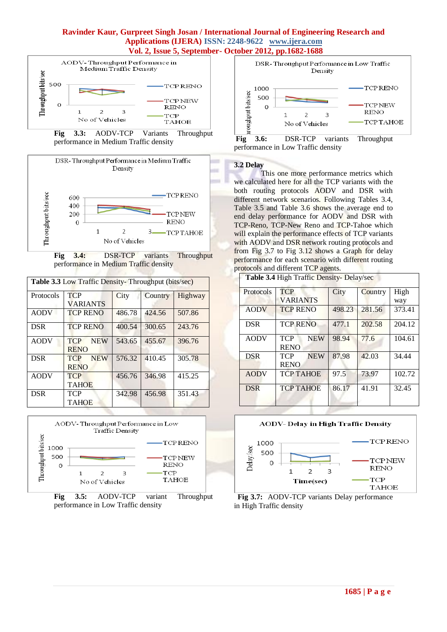







| <b>Table 3.3 Low Traffic Density- Throughput (bits/sec)</b> |                                         |        |         |         |  |  |
|-------------------------------------------------------------|-----------------------------------------|--------|---------|---------|--|--|
| Protocols                                                   | <b>TCP</b><br><b>VARIANTS</b>           | City   | Country | Highway |  |  |
| <b>AODV</b>                                                 | <b>TCP RENO</b>                         | 486.78 | 424.56  | 507.86  |  |  |
| <b>DSR</b>                                                  | <b>TCP RENO</b>                         | 400.54 | 300.65  | 243.76  |  |  |
| <b>AODV</b>                                                 | <b>NEW</b><br><b>TCP</b><br><b>RENO</b> | 543.65 | 455.67  | 396.76  |  |  |
| <b>DSR</b>                                                  | <b>NEW</b><br><b>TCP</b><br><b>RENO</b> | 576.32 | 410.45  | 305.78  |  |  |
| <b>AODV</b>                                                 | <b>TCP</b><br><b>TAHOE</b>              | 456.76 | 346.98  | 415.25  |  |  |
| <b>DSR</b>                                                  | <b>TCP</b><br><b>TAHOE</b>              | 342.98 | 456.98  | 351.43  |  |  |



**Fig 3.5:** AODV-TCP variant Throughput performance in Low Traffic density





# **3.2 Delay**

Г

This one more performance metrics which we calculated here for all the TCP variants with the both routing protocols AODV and DSR with different network scenarios. Following Tables 3.4, Table 3.5 and Table 3.6 shows the average end to end delay performance for AODV and DSR with TCP-Reno, TCP-New Reno and TCP-Tahoe which will explain the performance effects of TCP variants with AODV and DSR network routing protocols and from Fig 3.7 to Fig 3.12 shows a Graph for delay performance for each scenario with different routing protocols and different TCP agents.

|  |  | Table 3.4 High Traffic Density- Delay/sec |
|--|--|-------------------------------------------|

| Protocols   | <b>TCP</b>                              | City   | Country | High   |
|-------------|-----------------------------------------|--------|---------|--------|
|             | <b>VARIANTS</b>                         |        |         | way    |
| <b>AODV</b> | <b>TCP RENO</b>                         | 498.23 | 281.56  | 373.41 |
| <b>DSR</b>  | <b>TCP RENO</b>                         | 477.1  | 202.58  | 204.12 |
| <b>AODV</b> | <b>TCP</b><br><b>NEW</b><br><b>RENO</b> | 98.94  | 77.6    | 104.61 |
| <b>DSR</b>  | <b>NEW</b><br><b>TCP</b><br><b>RENO</b> | 87.98  | 42.03   | 34.44  |
| <b>AODV</b> | <b>TCP TAHOE</b>                        | 97.5   | 73.97   | 102.72 |
| <b>DSR</b>  | <b>TCP TAHOE</b>                        | 86.17  | 41.91   | 32.45  |



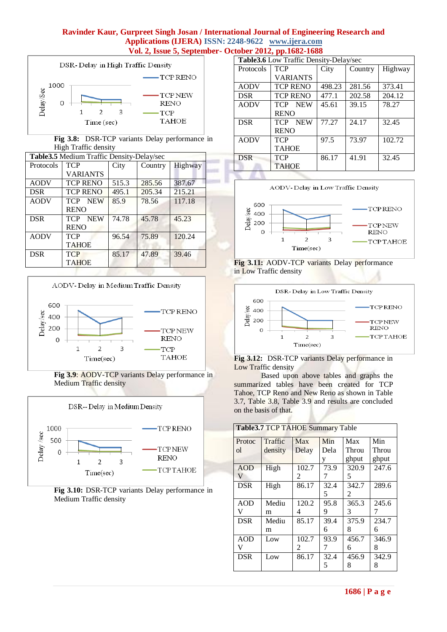m



**Fig 3.8:** DSR-TCP variants Delay performance in High Traffic density

| Table 3.5 Medium Traffic Density-Delay/sec |                          |       |         |         |  |
|--------------------------------------------|--------------------------|-------|---------|---------|--|
| Protocols                                  | <b>TCP</b>               | City  | Country | Highway |  |
|                                            | <b>VARIANTS</b>          |       |         |         |  |
| <b>AODV</b>                                | <b>TCP RENO</b>          | 515.3 | 285.56  | 387.67  |  |
| <b>DSR</b>                                 | <b>TCP RENO</b>          | 495.1 | 205.34  | 215.21  |  |
| <b>AODV</b>                                | <b>TCP</b><br><b>NEW</b> | 85.9  | 78.56   | 117.18  |  |
|                                            | <b>RENO</b>              |       |         |         |  |
| <b>DSR</b>                                 | <b>TCP</b><br><b>NEW</b> | 74.78 | 45.78   | 45.23   |  |
|                                            | <b>RENO</b>              |       |         |         |  |
| <b>AODV</b>                                | <b>TCP</b>               | 96.54 | 75.89   | 120.24  |  |
|                                            | <b>TAHOE</b>             |       |         |         |  |
| <b>DSR</b>                                 | <b>TCP</b>               | 85.17 | 47.89   | 39.46   |  |
|                                            | <b>TAHOE</b>             |       |         |         |  |



**Fig 3.9**: AODV-TCP variants Delay performance in Medium Traffic density





| Table 3.6 Low Traffic Density-Delay/sec |                          |        |         |         |  |  |
|-----------------------------------------|--------------------------|--------|---------|---------|--|--|
| Protocols                               | <b>TCP</b>               | City   | Country | Highway |  |  |
|                                         | <b>VARIANTS</b>          |        |         |         |  |  |
| <b>AODV</b>                             | <b>TCP RENO</b>          | 498.23 | 281.56  | 373.41  |  |  |
| <b>DSR</b>                              | <b>TCP RENO</b>          | 477.1  | 202.58  | 204.12  |  |  |
| <b>AODV</b>                             | TCP NEW                  | 45.61  | 39.15   | 78.27   |  |  |
|                                         | <b>RENO</b>              |        |         |         |  |  |
| <b>DSR</b>                              | <b>NEW</b><br><b>TCP</b> | 77.27  | 24.17   | 32.45   |  |  |
|                                         | <b>RENO</b>              |        |         |         |  |  |
| <b>AODV</b>                             | <b>TCP</b>               | 97.5   | 73.97   | 102.72  |  |  |
|                                         | <b>TAHOE</b>             |        |         |         |  |  |
| <b>DSR</b>                              | <b>TCP</b>               | 86.17  | 41.91   | 32.45   |  |  |
|                                         | <b>TAHOE</b>             |        |         |         |  |  |
|                                         |                          |        |         |         |  |  |



**Fig 3.11:** AODV-TCP variants Delay performance in Low Traffic density



**Fig 3.12:** DSR-TCP variants Delay performance in Low Traffic density

Based upon above tables and graphs the summarized tables have been created for TCP Tahoe, TCP Reno and New Reno as shown in Table 3.7, Table 3.8, Table 3.9 and results are concluded on the basis of that.

| <b>Table 3.7 TCP TAHOE Summary Table</b> |         |                |      |                |       |  |  |
|------------------------------------------|---------|----------------|------|----------------|-------|--|--|
| Protoc                                   | Traffic | <b>Max</b>     | Min  | Max            | Min   |  |  |
| ol                                       | density | Delay          | Dela | Throu          | Throu |  |  |
|                                          |         |                | y    | ghput          | ghput |  |  |
| <b>AOD</b>                               | High    | 102.7          | 73.9 | 320.9          | 247.6 |  |  |
| V                                        |         | $\mathfrak{D}$ | 7    | 5              |       |  |  |
| <b>DSR</b>                               | High    | 86.17          | 32.4 | 342.7          | 289.6 |  |  |
|                                          |         |                | 5    | $\overline{2}$ |       |  |  |
| AOD                                      | Mediu   | 120.2          | 95.8 | 365.3          | 245.6 |  |  |
| v                                        | m       | 4              | 9    | 3              |       |  |  |
| <b>DSR</b>                               | Mediu   | 85.17          | 39.4 | 375.9          | 234.7 |  |  |
|                                          | m       |                | 6    | 8              | 6     |  |  |
| AOD                                      | Low     | 102.7          | 93.9 | 456.7          | 346.9 |  |  |
| v                                        |         | 2              |      | 6              | 8     |  |  |
| <b>DSR</b>                               | Low     | 86.17          | 32.4 | 456.9          | 342.9 |  |  |
|                                          |         |                |      | 8              | 8     |  |  |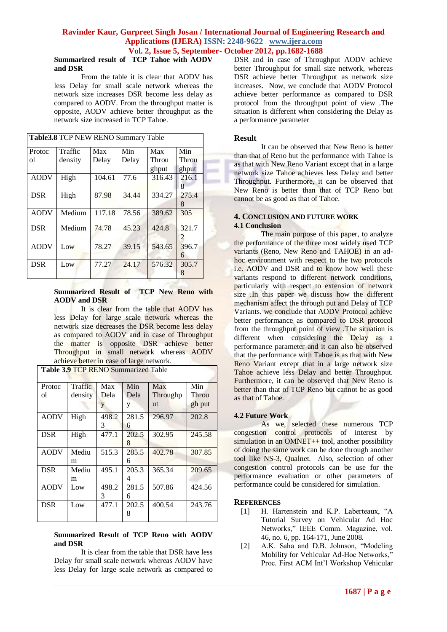### **Summarized result of TCP Tahoe with AODV and DSR**

From the table it is clear that AODV has less Delay for small scale network whereas the network size increases DSR become less delay as compared to AODV. From the throughput matter is opposite, AODV achieve better throughput as the network size increased in TCP Tahoe.

| Table 3.8 TCP NEW RENO Summary Table |         |        |       |        |            |
|--------------------------------------|---------|--------|-------|--------|------------|
| Protoc                               | Traffic | Max    | Min   | Max    | Min        |
| ol                                   | density | Delay  | Delay | Throu  | Throu      |
|                                      |         |        |       | ghput  | ghput      |
| <b>AODV</b>                          | High    | 104.61 | 77.6  | 316.43 | 216.1      |
|                                      |         |        |       |        | 8          |
| <b>DSR</b>                           | High    | 87.98  | 34.44 | 334.27 | 275.4      |
|                                      |         |        |       |        | 8          |
| <b>AODV</b>                          | Medium  | 117.18 | 78.56 | 389.62 | 305        |
| <b>DSR</b>                           | Medium  | 74.78  | 45.23 | 424.8  | 321.7<br>2 |
| <b>AODV</b>                          | Low     | 78.27  | 39.15 | 543.65 | 396.7<br>6 |
| <b>DSR</b>                           | Low     | 77.27  | 24.17 | 576.32 | 305.7<br>8 |

#### **Summarized Result of TCP New Reno with AODV and DSR**

It is clear from the table that AODV has less Delay for large scale network whereas the network size decreases the DSR become less delay as compared to AODV and in case of Throughput the matter is opposite DSR achieve better Throughput in small network whereas AODV achieve better in case of large network.

**Table 3.9** TCP RENO Summarized Table

| <b>Traffic</b> |   | Max                                                               | Min                                                               |
|----------------|---|-------------------------------------------------------------------|-------------------------------------------------------------------|
| density        |   | Throughp                                                          | Throu                                                             |
| y              | y | ut                                                                | gh put                                                            |
| High           |   | 296.97                                                            | 202.8                                                             |
| 3              | 6 |                                                                   |                                                                   |
| High           |   | 302.95                                                            | 245.58                                                            |
|                | 8 |                                                                   |                                                                   |
| Mediu          |   | 402.78                                                            | 307.85                                                            |
|                | 6 |                                                                   |                                                                   |
| Mediu          |   | 365.34                                                            | 209.65                                                            |
|                | 4 |                                                                   |                                                                   |
| Low            |   | 507.86                                                            | 424.56                                                            |
| 3              | 6 |                                                                   |                                                                   |
| Low            |   | 400.54                                                            | 243.76                                                            |
|                | 8 |                                                                   |                                                                   |
|                |   | Max<br>Dela<br>498.2<br>477.1<br>515.3<br>495.1<br>498.2<br>477.1 | Min<br>Dela<br>281.5<br>202.5<br>285.5<br>205.3<br>281.5<br>202.5 |

#### **Summarized Result of TCP Reno with AODV and DSR**

It is clear from the table that DSR have less Delay for small scale network whereas AODV have less Delay for large scale network as compared to DSR and in case of Throughput AODV achieve better Throughput for small size network, whereas DSR achieve better Throughput as network size increases. Now, we conclude that AODV Protocol achieve better performance as compared to DSR protocol from the throughput point of view .The situation is different when considering the Delay as a performance parameter

# **Result**

It can be observed that New Reno is better than that of Reno but the performance with Tahoe is as that with New Reno Variant except that in a large network size Tahoe achieves less Delay and better Throughput. Furthermore, it can be observed that New Reno is better than that of TCP Reno but cannot be as good as that of Tahoe.

# **4. CONCLUSION AND FUTURE WORK 4.1 Conclusion**

The main purpose of this paper, to analyze the performance of the three most widely used TCP variants (Reno, New Reno and TAHOE) in an adhoc environment with respect to the two protocols i.e. AODV and DSR and to know how well these variants respond to different network conditions, particularly with respect to extension of network size .In this paper we discuss how the different mechanism affect the through put and Delay of TCP Variants. we conclude that AODV Protocol achieve better performance as compared to DSR protocol from the throughput point of view .The situation is different when considering the Delay as a performance parameter and it can also be observed that the performance with Tahoe is as that with New Reno Variant except that in a large network size Tahoe achieve less Delay and better Throughput. Furthermore, it can be observed that New Reno is better than that of TCP Reno but cannot be as good as that of Tahoe.

### **4.2 Future Work**

As we, selected these numerous TCP congestion control protocols of interest by simulation in an OMNET $++$  tool, another possibility of doing the same work can be done through another tool like NS-3, Qualnet. Also, selection of other congestion control protocols can be use for the performance evaluation or other parameters of performance could be considered for simulation.

### **REFERENCES**

- [1] H. Hartenstein and K.P. Laberteaux, "A Tutorial Survey on Vehicular Ad Hoc Networks," IEEE Comm. Magazine, vol. 46, no. 6, pp. 164-171, June 2008.
- [2] A.K. Saha and D.B. Johnson, "Modeling Mobility for Vehicular Ad-Hoc Networks," Proc. First ACM Int'l Workshop Vehicular